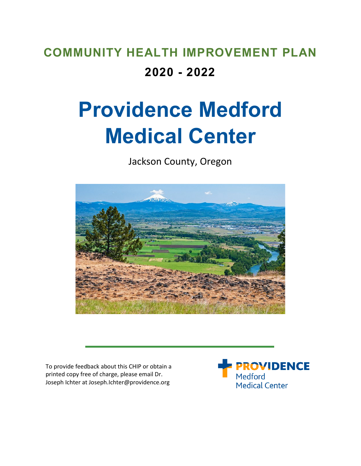# **COMMUNITY HEALTH IMPROVEMENT PLAN 2020 - 2022**

# **Providence Medford Medical Center**

Jackson County, Oregon



To provide feedback about this CHIP or obtain a printed copy free of charge, please email Dr. Joseph Ichter at Joseph.Ichter@providence.org

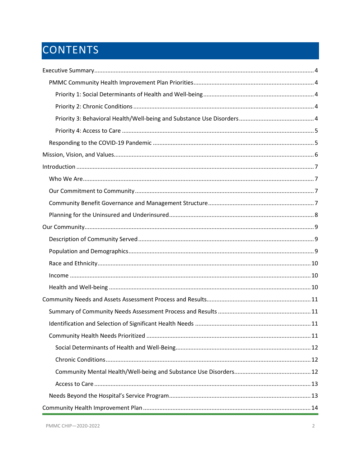# CONTENTS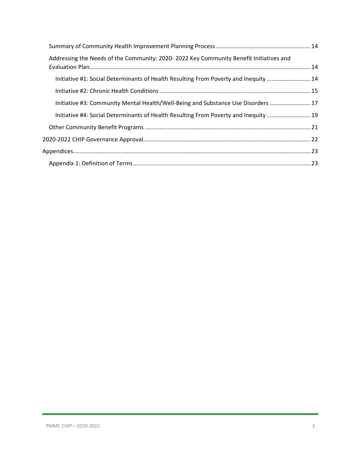| Addressing the Needs of the Community: 2020-2022 Key Community Benefit Initiatives and |  |
|----------------------------------------------------------------------------------------|--|
| Initiative #1: Social Determinants of Health Resulting From Poverty and Inequity 14    |  |
|                                                                                        |  |
| Initiative #3: Community Mental Health/Well-Being and Substance Use Disorders  17      |  |
| Initiative #4: Social Determinants of Health Resulting From Poverty and Inequity  19   |  |
|                                                                                        |  |
|                                                                                        |  |
|                                                                                        |  |
|                                                                                        |  |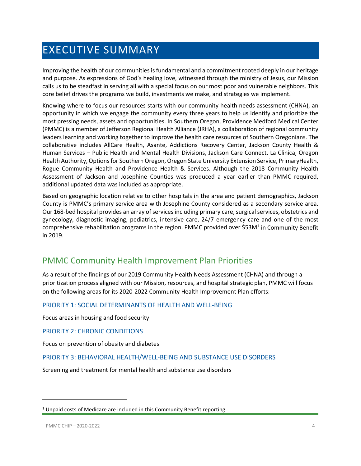# <span id="page-3-0"></span>EXECUTIVE SUMMARY

Improving the health of our communities is fundamental and a commitment rooted deeply in our heritage and purpose. As expressions of God's healing love, witnessed through the ministry of Jesus, our Mission calls us to be steadfast in serving all with a special focus on our most poor and vulnerable neighbors. This core belief drives the programs we build, investments we make, and strategies we implement.

Knowing where to focus our resources starts with our community health needs assessment (CHNA), an opportunity in which we engage the community every three years to help us identify and prioritize the most pressing needs, assets and opportunities. In Southern Oregon, Providence Medford Medical Center (PMMC) is a member of Jefferson Regional Health Alliance (JRHA), a collaboration of regional community leaders learning and working together to improve the health care resources of Southern Oregonians. The collaborative includes AllCare Health, Asante, Addictions Recovery Center, Jackson County Health & Human Services – Public Health and Mental Health Divisions, Jackson Care Connect, La Clinica, Oregon Health Authority, Options for Southern Oregon, Oregon State University Extension Service, PrimaryHealth, Rogue Community Health and Providence Health & Services. Although the 2018 Community Health Assessment of Jackson and Josephine Counties was produced a year earlier than PMMC required, additional updated data was included as appropriate.

Based on geographic location relative to other hospitals in the area and patient demographics, Jackson County is PMMC's primary service area with Josephine County considered as a secondary service area. Our 168-bed hospital provides an array of services including primary care, surgical services, obstetrics and gynecology, diagnostic imaging, pediatrics, intensive care, 24/7 emergency care and one of the most comprehensive rehabilitation programs in the region. PMMC provided over  $$53M<sup>1</sup>$  $$53M<sup>1</sup>$  $$53M<sup>1</sup>$  in Community Benefit in 2019.

### <span id="page-3-1"></span>PMMC Community Health Improvement Plan Priorities

As a result of the findings of our 2019 Community Health Needs Assessment (CHNA) and through a prioritization process aligned with our Mission, resources, and hospital strategic plan, PMMC will focus on the following areas for its 2020-2022 Community Health Improvement Plan efforts:

#### <span id="page-3-2"></span>PRIORITY 1: SOCIAL DETERMINANTS OF HEALTH AND WELL-BEING

Focus areas in housing and food security

<span id="page-3-3"></span>PRIORITY 2: CHRONIC CONDITIONS

Focus on prevention of obesity and diabetes

#### <span id="page-3-4"></span>PRIORITY 3: BEHAVIORAL HEALTH/WELL-BEING AND SUBSTANCE USE DISORDERS

Screening and treatment for mental health and substance use disorders

 $\overline{\phantom{a}}$ 

<span id="page-3-5"></span><sup>&</sup>lt;sup>1</sup> Unpaid costs of Medicare are included in this Community Benefit reporting.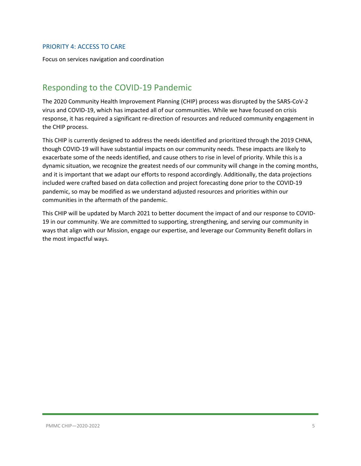#### <span id="page-4-0"></span>PRIORITY 4: ACCESS TO CARE

Focus on services navigation and coordination

### <span id="page-4-1"></span>Responding to the COVID-19 Pandemic

The 2020 Community Health Improvement Planning (CHIP) process was disrupted by the SARS-CoV-2 virus and COVID-19, which has impacted all of our communities. While we have focused on crisis response, it has required a significant re-direction of resources and reduced community engagement in the CHIP process.

This CHIP is currently designed to address the needs identified and prioritized through the 2019 CHNA, though COVID-19 will have substantial impacts on our community needs. These impacts are likely to exacerbate some of the needs identified, and cause others to rise in level of priority. While this is a dynamic situation, we recognize the greatest needs of our community will change in the coming months, and it is important that we adapt our efforts to respond accordingly. Additionally, the data projections included were crafted based on data collection and project forecasting done prior to the COVID-19 pandemic, so may be modified as we understand adjusted resources and priorities within our communities in the aftermath of the pandemic.

This CHIP will be updated by March 2021 to better document the impact of and our response to COVID-19 in our community. We are committed to supporting, strengthening, and serving our community in ways that align with our Mission, engage our expertise, and leverage our Community Benefit dollars in the most impactful ways.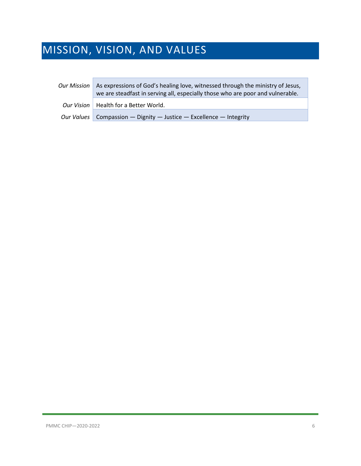# <span id="page-5-0"></span>MISSION, VISION, AND VALUES

| <b>Our Mission</b> | As expressions of God's healing love, witnessed through the ministry of Jesus,<br>we are steadfast in serving all, especially those who are poor and vulnerable. |
|--------------------|------------------------------------------------------------------------------------------------------------------------------------------------------------------|
|                    | Our Vision   Health for a Better World.                                                                                                                          |
|                    | Our Values   Compassion — Dignity — Justice — Excellence — Integrity                                                                                             |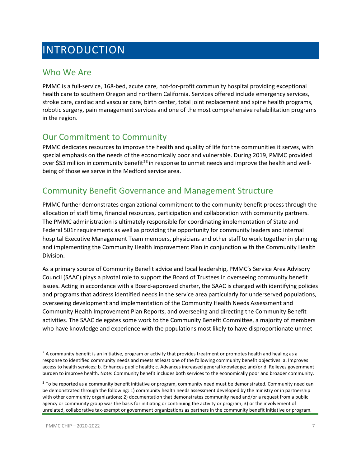# <span id="page-6-0"></span>INTRODUCTION

### <span id="page-6-1"></span>Who We Are

PMMC is a full-service, 168-bed, acute care, not-for-profit community hospital providing exceptional health care to southern Oregon and northern California. Services offered include emergency services, stroke care, cardiac and vascular care, birth center, total joint replacement and spine health programs, robotic surgery, pain management services and one of the most comprehensive rehabilitation programs in the region.

### <span id="page-6-2"></span>Our Commitment to Community

PMMC dedicates resources to improve the health and quality of life for the communities it serves, with special emphasis on the needs of the economically poor and vulnerable. During 2019, PMMC provided over \$53 million in community benefit<sup>[2](#page-6-4)[3](#page-6-5)</sup> in response to unmet needs and improve the health and wellbeing of those we serve in the Medford service area.

### <span id="page-6-3"></span>Community Benefit Governance and Management Structure

PMMC further demonstrates organizational commitment to the community benefit process through the allocation of staff time, financial resources, participation and collaboration with community partners. The PMMC administration is ultimately responsible for coordinating implementation of State and Federal 501r requirements as well as providing the opportunity for community leaders and internal hospital Executive Management Team members, physicians and other staff to work together in planning and implementing the Community Health Improvement Plan in conjunction with the Community Health Division.

As a primary source of Community Benefit advice and local leadership, PMMC's Service Area Advisory Council (SAAC) plays a pivotal role to support the Board of Trustees in overseeing community benefit issues. Acting in accordance with a Board-approved charter, the SAAC is charged with identifying policies and programs that address identified needs in the service area particularly for underserved populations, overseeing development and implementation of the Community Health Needs Assessment and Community Health Improvement Plan Reports, and overseeing and directing the Community Benefit activities. The SAAC delegates some work to the Community Benefit Committee, a majority of members who have knowledge and experience with the populations most likely to have disproportionate unmet

l

<span id="page-6-4"></span> $2$  A community benefit is an initiative, program or activity that provides treatment or promotes health and healing as a response to identified community needs and meets at least one of the following community benefit objectives: a. Improves access to health services; b. Enhances public health; c. Advances increased general knowledge; and/or d. Relieves government burden to improve health. Note: Community benefit includes both services to the economically poor and broader community.

<span id="page-6-5"></span><sup>&</sup>lt;sup>3</sup> To be reported as a community benefit initiative or program, community need must be demonstrated. Community need can be demonstrated through the following: 1) community health needs assessment developed by the ministry or in partnership with other community organizations; 2) documentation that demonstrates community need and/or a request from a public agency or community group was the basis for initiating or continuing the activity or program; 3) or the involvement of unrelated, collaborative tax-exempt or government organizations as partners in the community benefit initiative or program.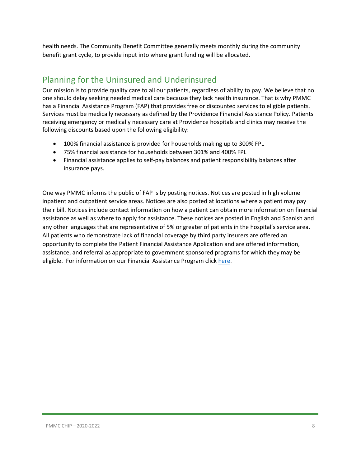health needs. The Community Benefit Committee generally meets monthly during the community benefit grant cycle, to provide input into where grant funding will be allocated.

# <span id="page-7-0"></span>Planning for the Uninsured and Underinsured

Our mission is to provide quality care to all our patients, regardless of ability to pay. We believe that no one should delay seeking needed medical care because they lack health insurance. That is why PMMC has a Financial Assistance Program (FAP) that provides free or discounted services to eligible patients. Services must be medically necessary as defined by the Providence Financial Assistance Policy. Patients receiving emergency or medically necessary care at Providence hospitals and clinics may receive the following discounts based upon the following eligibility:

- 100% financial assistance is provided for households making up to 300% FPL
- 75% financial assistance for households between 301% and 400% FPL
- Financial assistance applies to self-pay balances and patient responsibility balances after insurance pays.

One way PMMC informs the public of FAP is by posting notices. Notices are posted in high volume inpatient and outpatient service areas. Notices are also posted at locations where a patient may pay their bill. Notices include contact information on how a patient can obtain more information on financial assistance as well as where to apply for assistance. These notices are posted in English and Spanish and any other languages that are representative of 5% or greater of patients in the hospital's service area. All patients who demonstrate lack of financial coverage by third party insurers are offered an opportunity to complete the Patient Financial Assistance Application and are offered information, assistance, and referral as appropriate to government sponsored programs for which they may be eligible. For information on our Financial Assistance Program click [here.](https://www.providence.org/obp/or/financial-assistance)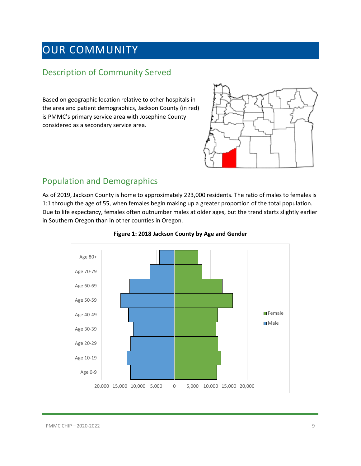# <span id="page-8-0"></span>OUR COMMUNITY

### <span id="page-8-1"></span>Description of Community Served

Based on geographic location relative to other hospitals in the area and patient demographics, Jackson County (in red) is PMMC's primary service area with Josephine County considered as a secondary service area.



### <span id="page-8-2"></span>Population and Demographics

As of 2019, Jackson County is home to approximately 223,000 residents. The ratio of males to females is 1:1 through the age of 55, when females begin making up a greater proportion of the total population. Due to life expectancy, females often outnumber males at older ages, but the trend starts slightly earlier in Southern Oregon than in other counties in Oregon.



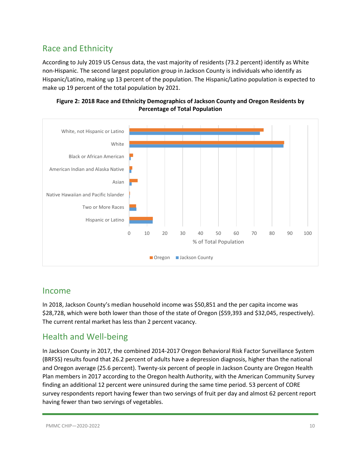# <span id="page-9-0"></span>Race and Ethnicity

According to July 2019 US Census data, the vast majority of residents (73.2 percent) identify as White non-Hispanic. The second largest population group in Jackson County is individuals who identify as Hispanic/Latino, making up 13 percent of the population. The Hispanic/Latino population is expected to make up 19 percent of the total population by 2021.





### <span id="page-9-1"></span>Income

In 2018, Jackson County's median household income was \$50,851 and the per capita income was \$28,728, which were both lower than those of the state of Oregon (\$59,393 and \$32,045, respectively). The current rental market has less than 2 percent vacancy.

### <span id="page-9-2"></span>Health and Well-being

In Jackson County in 2017, the combined 2014-2017 Oregon Behavioral Risk Factor Surveillance System (BRFSS) results found that 26.2 percent of adults have a depression diagnosis, higher than the national and Oregon average (25.6 percent). Twenty-six percent of people in Jackson County are Oregon Health Plan members in 2017 according to the Oregon health Authority, with the American Community Survey finding an additional 12 percent were uninsured during the same time period. 53 percent of CORE survey respondents report having fewer than two servings of fruit per day and almost 62 percent report having fewer than two servings of vegetables.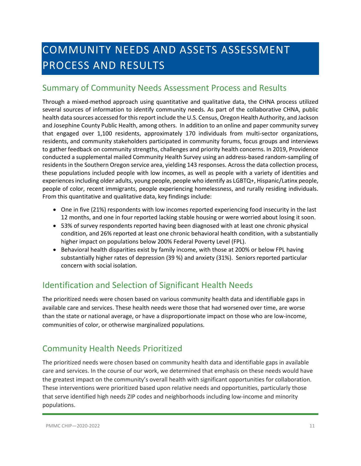# <span id="page-10-0"></span>COMMUNITY NEEDS AND ASSETS ASSESSMENT PROCESS AND RESULTS

## <span id="page-10-1"></span>Summary of Community Needs Assessment Process and Results

Through a mixed-method approach using quantitative and qualitative data, the CHNA process utilized several sources of information to identify community needs. As part of the collaborative CHNA, public health data sources accessed for this report include the U.S. Census, Oregon Health Authority, and Jackson and Josephine County Public Health, among others. In addition to an online and paper community survey that engaged over 1,100 residents, approximately 170 individuals from multi-sector organizations, residents, and community stakeholders participated in community forums, focus groups and interviews to gather feedback on community strengths, challenges and priority health concerns. In 2019, Providence conducted a supplemental mailed Community Health Survey using an address-based random-sampling of residents in the Southern Oregon service area, yielding 143 responses. Across the data collection process, these populations included people with low incomes, as well as people with a variety of identities and experiences including older adults, young people, people who identify as LGBTQ+, Hispanic/Latinx people, people of color, recent immigrants, people experiencing homelessness, and rurally residing individuals. From this quantitative and qualitative data, key findings include:

- One in five (21%) respondents with low incomes reported experiencing food insecurity in the last 12 months, and one in four reported lacking stable housing or were worried about losing it soon.
- 53% of survey respondents reported having been diagnosed with at least one chronic physical condition, and 26% reported at least one chronic behavioral health condition, with a substantially higher impact on populations below 200% Federal Poverty Level (FPL).
- Behavioral health disparities exist by family income, with those at 200% or below FPL having substantially higher rates of depression (39 %) and anxiety (31%). Seniors reported particular concern with social isolation.

# <span id="page-10-2"></span>Identification and Selection of Significant Health Needs

The prioritized needs were chosen based on various community health data and identifiable gaps in available care and services. These health needs were those that had worsened over time, are worse than the state or national average, or have a disproportionate impact on those who are low-income, communities of color, or otherwise marginalized populations.

# <span id="page-10-3"></span>Community Health Needs Prioritized

The prioritized needs were chosen based on community health data and identifiable gaps in available care and services. In the course of our work, we determined that emphasis on these needs would have the greatest impact on the community's overall health with significant opportunities for collaboration. These interventions were prioritized based upon relative needs and opportunities, particularly those that serve identified high needs ZIP codes and neighborhoods including low-income and minority populations.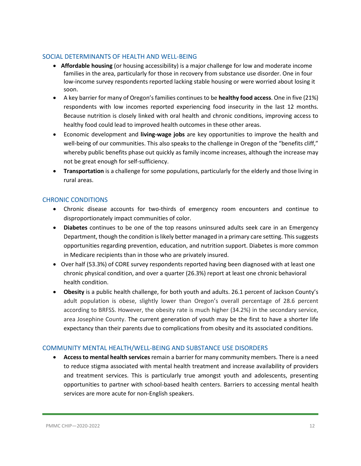#### <span id="page-11-0"></span>SOCIAL DETERMINANTS OF HEALTH AND WELL-BEING

- **Affordable housing** (or housing accessibility) is a major challenge for low and moderate income families in the area, particularly for those in recovery from substance use disorder. One in four low-income survey respondents reported lacking stable housing or were worried about losing it soon.
- A key barrier for many of Oregon's families continues to be **healthy food access**. One in five (21%) respondents with low incomes reported experiencing food insecurity in the last 12 months. Because nutrition is closely linked with oral health and chronic conditions, improving access to healthy food could lead to improved health outcomes in these other areas.
- Economic development and **living-wage jobs** are key opportunities to improve the health and well-being of our communities. This also speaks to the challenge in Oregon of the "benefits cliff," whereby public benefits phase out quickly as family income increases, although the increase may not be great enough for self-sufficiency.
- **Transportation** is a challenge for some populations, particularly for the elderly and those living in rural areas.

#### <span id="page-11-1"></span>CHRONIC CONDITIONS

- Chronic disease accounts for two-thirds of emergency room encounters and continue to disproportionately impact communities of color.
- **Diabetes** continues to be one of the top reasons uninsured adults seek care in an Emergency Department, though the condition is likely better managed in a primary care setting. This suggests opportunities regarding prevention, education, and nutrition support. Diabetes is more common in Medicare recipients than in those who are privately insured.
- Over half (53.3%) of CORE survey respondents reported having been diagnosed with at least one chronic physical condition, and over a quarter (26.3%) report at least one chronic behavioral health condition.
- **Obesity** is a public health challenge, for both youth and adults. 26.1 percent of Jackson County's adult population is obese, slightly lower than Oregon's overall percentage of 28.6 percent according to BRFSS. However, the obesity rate is much higher (34.2%) in the secondary service, area Josephine County. The current generation of youth may be the first to have a shorter life expectancy than their parents due to complications from obesity and its associated conditions.

#### <span id="page-11-2"></span>COMMUNITY MENTAL HEALTH/WELL-BEING AND SUBSTANCE USE DISORDERS

• **Access to mental health services**remain a barrier for many community members. There is a need to reduce stigma associated with mental health treatment and increase availability of providers and treatment services. This is particularly true amongst youth and adolescents, presenting opportunities to partner with school-based health centers. Barriers to accessing mental health services are more acute for non-English speakers.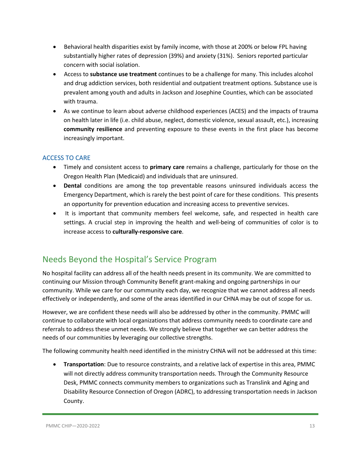- Behavioral health disparities exist by family income, with those at 200% or below FPL having substantially higher rates of depression (39%) and anxiety (31%). Seniors reported particular concern with social isolation.
- Access to **substance use treatment** continues to be a challenge for many. This includes alcohol and drug addiction services, both residential and outpatient treatment options. Substance use is prevalent among youth and adults in Jackson and Josephine Counties, which can be associated with trauma.
- As we continue to learn about adverse childhood experiences (ACES) and the impacts of trauma on health later in life (i.e. child abuse, neglect, domestic violence, sexual assault, etc.), increasing **community resilience** and preventing exposure to these events in the first place has become increasingly important.

#### <span id="page-12-0"></span>ACCESS TO CARE

- Timely and consistent access to **primary care** remains a challenge, particularly for those on the Oregon Health Plan (Medicaid) and individuals that are uninsured.
- **Dental** conditions are among the top preventable reasons uninsured individuals access the Emergency Department, which is rarely the best point of care for these conditions. This presents an opportunity for prevention education and increasing access to preventive services.
- It is important that community members feel welcome, safe, and respected in health care settings. A crucial step in improving the health and well-being of communities of color is to increase access to **culturally-responsive care**.

# <span id="page-12-1"></span>Needs Beyond the Hospital's Service Program

No hospital facility can address all of the health needs present in its community. We are committed to continuing our Mission through Community Benefit grant-making and ongoing partnerships in our community. While we care for our community each day, we recognize that we cannot address all needs effectively or independently, and some of the areas identified in our CHNA may be out of scope for us.

However, we are confident these needs will also be addressed by other in the community. PMMC will continue to collaborate with local organizations that address community needs to coordinate care and referrals to address these unmet needs. We strongly believe that together we can better address the needs of our communities by leveraging our collective strengths.

The following community health need identified in the ministry CHNA will not be addressed at this time:

• **Transportation**: Due to resource constraints, and a relative lack of expertise in this area, PMMC will not directly address community transportation needs. Through the Community Resource Desk, PMMC connects community members to organizations such as Translink and Aging and Disability Resource Connection of Oregon (ADRC), to addressing transportation needs in Jackson County.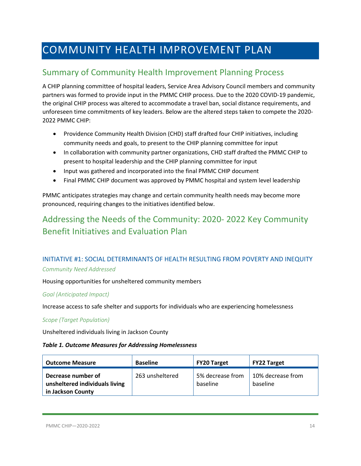# <span id="page-13-0"></span>COMMUNITY HEALTH IMPROVEMENT PLAN

# <span id="page-13-1"></span>Summary of Community Health Improvement Planning Process

A CHIP planning committee of hospital leaders, Service Area Advisory Council members and community partners was formed to provide input in the PMMC CHIP process. Due to the 2020 COVID-19 pandemic, the original CHIP process was altered to accommodate a travel ban, social distance requirements, and unforeseen time commitments of key leaders. Below are the altered steps taken to compete the 2020- 2022 PMMC CHIP:

- Providence Community Health Division (CHD) staff drafted four CHIP initiatives, including community needs and goals, to present to the CHIP planning committee for input
- In collaboration with community partner organizations, CHD staff drafted the PMMC CHIP to present to hospital leadership and the CHIP planning committee for input
- Input was gathered and incorporated into the final PMMC CHIP document
- Final PMMC CHIP document was approved by PMMC hospital and system level leadership

PMMC anticipates strategies may change and certain community health needs may become more pronounced, requiring changes to the initiatives identified below.

# <span id="page-13-2"></span>Addressing the Needs of the Community: 2020- 2022 Key Community Benefit Initiatives and Evaluation Plan

### <span id="page-13-3"></span>INITIATIVE #1: SOCIAL DETERMINANTS OF HEALTH RESULTING FROM POVERTY AND INEQUITY *Community Need Addressed*

Housing opportunities for unsheltered community members

#### *Goal (Anticipated Impact)*

Increase access to safe shelter and supports for individuals who are experiencing homelessness

#### *Scope (Target Population)*

Unsheltered individuals living in Jackson County

#### *Table 1. Outcome Measures for Addressing Homelessness*

| <b>Outcome Measure</b>                                                    | <b>Baseline</b> | <b>FY20 Target</b>           | <b>FY22 Target</b>            |
|---------------------------------------------------------------------------|-----------------|------------------------------|-------------------------------|
| Decrease number of<br>unsheltered individuals living<br>in Jackson County | 263 unsheltered | 5% decrease from<br>baseline | 10% decrease from<br>baseline |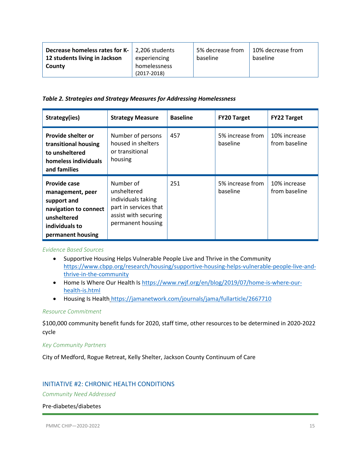| <b>Decrease homeless rates for K-</b> $\vert$ 2,206 students |                 | 5% decrease from | 10% decrease from |
|--------------------------------------------------------------|-----------------|------------------|-------------------|
| 12 students living in Jackson                                | experiencing    | baseline         | baseline          |
| County                                                       | homelessness    |                  |                   |
|                                                              | $(2017 - 2018)$ |                  |                   |

#### *Table 2. Strategies and Strategy Measures for Addressing Homelessness*

| Strategy(ies)                                                                                                                  | <b>Strategy Measure</b>                                                                                              | <b>Baseline</b> | <b>FY20 Target</b>           | <b>FY22 Target</b>            |
|--------------------------------------------------------------------------------------------------------------------------------|----------------------------------------------------------------------------------------------------------------------|-----------------|------------------------------|-------------------------------|
| Provide shelter or<br>transitional housing<br>to unsheltered<br>homeless individuals<br>and families                           | Number of persons<br>housed in shelters<br>or transitional<br>housing                                                | 457             | 5% increase from<br>baseline | 10% increase<br>from baseline |
| Provide case<br>management, peer<br>support and<br>navigation to connect<br>unsheltered<br>individuals to<br>permanent housing | Number of<br>unsheltered<br>individuals taking<br>part in services that<br>assist with securing<br>permanent housing | 251             | 5% increase from<br>baseline | 10% increase<br>from baseline |

#### *Evidence Based Sources*

- Supportive Housing Helps Vulnerable People Live and Thrive in the Community [https://www.cbpp.org/research/housing/supportive-housing-helps-vulnerable-people-live-and](https://www.cbpp.org/research/housing/supportive-housing-helps-vulnerable-people-live-and-thrive-in-the-community)[thrive-in-the-community](https://www.cbpp.org/research/housing/supportive-housing-helps-vulnerable-people-live-and-thrive-in-the-community)
- Home Is Where Our Health Is [https://www.rwjf.org/en/blog/2019/07/home-is-where-our](https://www.rwjf.org/en/blog/2019/07/home-is-where-our-health-is.html)[health-is.html](https://www.rwjf.org/en/blog/2019/07/home-is-where-our-health-is.html)
- Housing Is Health <https://jamanetwork.com/journals/jama/fullarticle/2667710>

#### *Resource Commitment*

\$100,000 community benefit funds for 2020, staff time, other resources to be determined in 2020-2022 cycle

#### *Key Community Partners*

City of Medford, Rogue Retreat, Kelly Shelter, Jackson County Continuum of Care

#### <span id="page-14-0"></span>INITIATIVE #2: CHRONIC HEALTH CONDITIONS

*Community Need Addressed*

#### Pre-diabetes/diabetes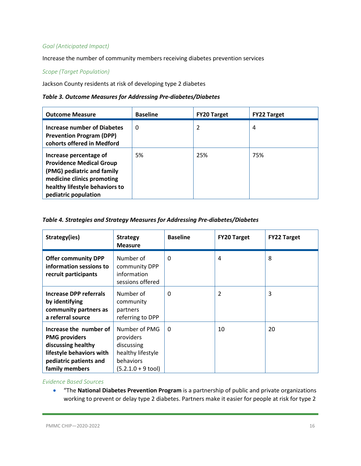#### *Goal (Anticipated Impact)*

Increase the number of community members receiving diabetes prevention services

#### *Scope (Target Population)*

Jackson County residents at risk of developing type 2 diabetes

#### *Table 3. Outcome Measures for Addressing Pre-diabetes/Diabetes*

| <b>Outcome Measure</b>                                                                                                                                                          | <b>Baseline</b> | <b>FY20 Target</b> | <b>FY22 Target</b> |
|---------------------------------------------------------------------------------------------------------------------------------------------------------------------------------|-----------------|--------------------|--------------------|
| Increase number of Diabetes<br><b>Prevention Program (DPP)</b><br>cohorts offered in Medford                                                                                    | 0               | 2                  | 4                  |
| Increase percentage of<br><b>Providence Medical Group</b><br>(PMG) pediatric and family<br>medicine clinics promoting<br>healthy lifestyle behaviors to<br>pediatric population | 5%              | 25%                | 75%                |

#### *Table 4. Strategies and Strategy Measures for Addressing Pre-diabetes/Diabetes*

| Strategy(ies)                                                                                                                                | <b>Strategy</b><br><b>Measure</b>                                                                          | <b>Baseline</b> | <b>FY20 Target</b> | <b>FY22 Target</b> |
|----------------------------------------------------------------------------------------------------------------------------------------------|------------------------------------------------------------------------------------------------------------|-----------------|--------------------|--------------------|
| <b>Offer community DPP</b><br>information sessions to<br>recruit participants                                                                | Number of<br>community DPP<br>information<br>sessions offered                                              | $\Omega$        | 4                  | 8                  |
| <b>Increase DPP referrals</b><br>by identifying<br>community partners as<br>a referral source                                                | Number of<br>community<br>partners<br>referring to DPP                                                     | $\Omega$        | 2                  | 3                  |
| Increase the number of<br><b>PMG providers</b><br>discussing healthy<br>lifestyle behaviors with<br>pediatric patients and<br>family members | Number of PMG<br>providers<br>discussing<br>healthy lifestyle<br>behaviors<br>$(5.2.1.0 + 9 \text{ tool})$ | $\Omega$        | 10                 | 20                 |

#### *Evidence Based Sources*

• "The **National Diabetes Prevention Program** is a partnership of public and private organizations working to prevent or delay type 2 diabetes. Partners make it easier for people at risk for type 2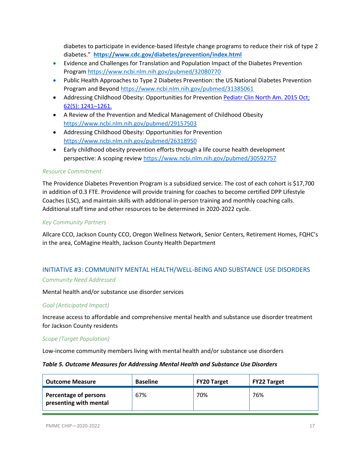diabetes to participate in evidence-based lifestyle change programs to reduce their risk of type 2 diabetes." **<https://www.cdc.gov/diabetes/prevention/index.html>**

- Evidence and Challenges for Translation and Population Impact of the Diabetes Prevention Program<https://www.ncbi.nlm.nih.gov/pubmed/32080770>
- Public Health Approaches to Type 2 Diabetes Prevention: the US National Diabetes Prevention Program and Beyon[d https://www.ncbi.nlm.nih.gov/pubmed/31385061](https://www.ncbi.nlm.nih.gov/pubmed/31385061)
- Addressing Childhood Obesity: Opportunities for Prevention [Pediatr Clin North](https://www.ncbi.nlm.nih.gov/entrez/eutils/elink.fcgi?dbfrom=pubmed&retmode=ref&cmd=prlinks&id=26318950) Am. 2015 Oct; [62\(5\): 1241–1261.](https://www.ncbi.nlm.nih.gov/entrez/eutils/elink.fcgi?dbfrom=pubmed&retmode=ref&cmd=prlinks&id=26318950)
- A Review of the Prevention and Medical Management of Childhood Obesity <https://www.ncbi.nlm.nih.gov/pubmed/29157503>
- Addressing Childhood Obesity: Opportunities for Prevention <https://www.ncbi.nlm.nih.gov/pubmed/26318950>
- Early childhood obesity prevention efforts through a life course health development perspective: A scoping review<https://www.ncbi.nlm.nih.gov/pubmed/30592757>

#### *Resource Commitment*

The Providence Diabetes Prevention Program is a subsidized service. The cost of each cohort is \$17,700 in addition of 0.3 FTE. Providence will provide training for coaches to become certified DPP Lifestyle Coaches (LSC), and maintain skills with additional in-person training and monthly coaching calls. Additional staff time and other resources to be determined in 2020-2022 cycle.

#### *Key Community Partners*

Allcare CCO, Jackson County CCO, Oregon Wellness Network, Senior Centers, Retirement Homes, FQHC's in the area, CoMagine Health, Jackson County Health Department

#### <span id="page-16-0"></span>INITIATIVE #3: COMMUNITY MENTAL HEALTH/WELL-BEING AND SUBSTANCE USE DISORDERS *Community Need Addressed*

#### Mental health and/or substance use disorder services

#### *Goal (Anticipated Impact)*

Increase access to affordable and comprehensive mental health and substance use disorder treatment for Jackson County residents

#### *Scope (Target Population)*

Low-income community members living with mental health and/or substance use disorders

#### *Table 5. Outcome Measures for Addressing Mental Health and Substance Use Disorders*

| <b>Outcome Measure</b>                          | <b>Baseline</b> | <b>FY20 Target</b> | <b>FY22 Target</b> |
|-------------------------------------------------|-----------------|--------------------|--------------------|
| Percentage of persons<br>presenting with mental | 67%             | 70%                | 76%                |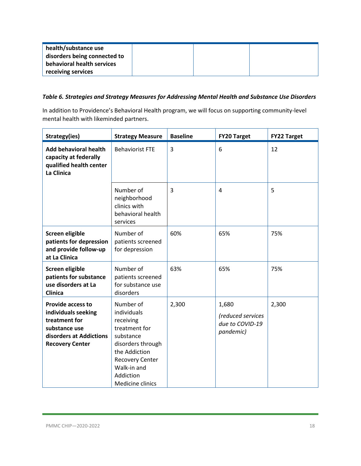| health/substance use<br>disorders being connected to |  |  |
|------------------------------------------------------|--|--|
| behavioral health services                           |  |  |
| receiving services                                   |  |  |

#### *Table 6. Strategies and Strategy Measures for Addressing Mental Health and Substance Use Disorders*

In addition to Providence's Behavioral Health program, we will focus on supporting community-level mental health with likeminded partners.

| Strategy(ies)                                                                                                                          | <b>Strategy Measure</b>                                                                                                                                                             | <b>Baseline</b> | <b>FY20 Target</b>                                         | <b>FY22 Target</b> |
|----------------------------------------------------------------------------------------------------------------------------------------|-------------------------------------------------------------------------------------------------------------------------------------------------------------------------------------|-----------------|------------------------------------------------------------|--------------------|
| <b>Add behavioral health</b><br>capacity at federally<br>qualified health center<br>La Clinica                                         | <b>Behaviorist FTE</b>                                                                                                                                                              | $\overline{3}$  | 6                                                          | 12                 |
|                                                                                                                                        | Number of<br>neighborhood<br>clinics with<br>behavioral health<br>services                                                                                                          | 3               | 4                                                          | 5                  |
| Screen eligible<br>patients for depression<br>and provide follow-up<br>at La Clinica                                                   | Number of<br>patients screened<br>for depression                                                                                                                                    | 60%             | 65%                                                        | 75%                |
| Screen eligible<br>patients for substance<br>use disorders at La<br><b>Clinica</b>                                                     | Number of<br>patients screened<br>for substance use<br>disorders                                                                                                                    | 63%             | 65%                                                        | 75%                |
| <b>Provide access to</b><br>individuals seeking<br>treatment for<br>substance use<br>disorders at Addictions<br><b>Recovery Center</b> | Number of<br>individuals<br>receiving<br>treatment for<br>substance<br>disorders through<br>the Addiction<br><b>Recovery Center</b><br>Walk-in and<br>Addiction<br>Medicine clinics | 2,300           | 1,680<br>(reduced services<br>due to COVID-19<br>pandemic) | 2,300              |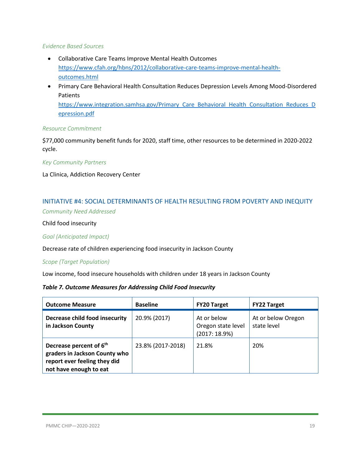#### *Evidence Based Sources*

- Collaborative Care Teams Improve Mental Health Outcomes [https://www.cfah.org/hbns/2012/collaborative-care-teams-improve-mental-health](https://www.cfah.org/hbns/2012/collaborative-care-teams-improve-mental-health-outcomes.html)[outcomes.html](https://www.cfah.org/hbns/2012/collaborative-care-teams-improve-mental-health-outcomes.html)
- Primary Care Behavioral Health Consultation Reduces Depression Levels Among Mood-Disordered Patients [https://www.integration.samhsa.gov/Primary\\_Care\\_Behavioral\\_Health\\_Consultation\\_Reduces\\_D](https://www.integration.samhsa.gov/Primary_Care_Behavioral_Health_Consultation_Reduces_Depression.pdf) [epression.pdf](https://www.integration.samhsa.gov/Primary_Care_Behavioral_Health_Consultation_Reduces_Depression.pdf)

#### *Resource Commitment*

\$77,000 community benefit funds for 2020, staff time, other resources to be determined in 2020-2022 cycle.

#### *Key Community Partners*

La Clinica, Addiction Recovery Center

### <span id="page-18-0"></span>INITIATIVE #4: SOCIAL DETERMINANTS OF HEALTH RESULTING FROM POVERTY AND INEQUITY

*Community Need Addressed*

Child food insecurity

*Goal (Anticipated Impact)*

Decrease rate of children experiencing food insecurity in Jackson County

#### *Scope (Target Population)*

Low income, food insecure households with children under 18 years in Jackson County

#### *Table 7. Outcome Measures for Addressing Child Food Insecurity*

| <b>Outcome Measure</b>                                                                                                         | <b>Baseline</b>   | <b>FY20 Target</b>                                | <b>FY22 Target</b>                |
|--------------------------------------------------------------------------------------------------------------------------------|-------------------|---------------------------------------------------|-----------------------------------|
| Decrease child food insecurity<br>in Jackson County                                                                            | 20.9% (2017)      | At or below<br>Oregon state level<br>(2017:18.9%) | At or below Oregon<br>state level |
| Decrease percent of 6 <sup>th</sup><br>graders in Jackson County who<br>report ever feeling they did<br>not have enough to eat | 23.8% (2017-2018) | 21.8%                                             | 20%                               |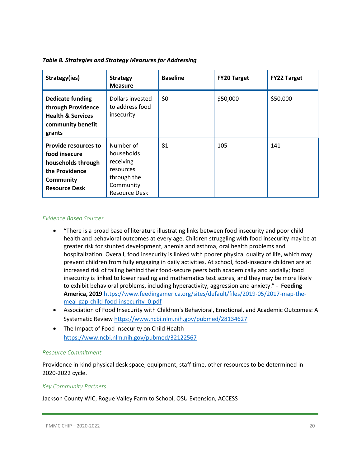| Strategy(ies)                                                                                                                    | <b>Strategy</b><br><b>Measure</b>                                                                     | <b>Baseline</b> | <b>FY20 Target</b> | <b>FY22 Target</b> |
|----------------------------------------------------------------------------------------------------------------------------------|-------------------------------------------------------------------------------------------------------|-----------------|--------------------|--------------------|
| <b>Dedicate funding</b><br>through Providence<br><b>Health &amp; Services</b><br>community benefit<br>grants                     | Dollars invested<br>to address food<br>insecurity                                                     | \$0             | \$50,000           | \$50,000           |
| <b>Provide resources to</b><br>food insecure<br>households through<br>the Providence<br><b>Community</b><br><b>Resource Desk</b> | Number of<br>households<br>receiving<br>resources<br>through the<br>Community<br><b>Resource Desk</b> | 81              | 105                | 141                |

#### *Table 8. Strategies and Strategy Measures for Addressing*

#### *Evidence Based Sources*

- "There is a broad base of literature illustrating links between food insecurity and poor child health and behavioral outcomes at every age. Children struggling with food insecurity may be at greater risk for stunted development, anemia and asthma, oral health problems and hospitalization. Overall, food insecurity is linked with poorer physical quality of life, which may prevent children from fully engaging in daily activities. At school, food-insecure children are at increased risk of falling behind their food-secure peers both academically and socially; food insecurity is linked to lower reading and mathematics test scores, and they may be more likely to exhibit behavioral problems, including hyperactivity, aggression and anxiety." - **Feeding America, 2019** [https://www.feedingamerica.org/sites/default/files/2019-05/2017-map-the](https://www.feedingamerica.org/sites/default/files/2019-05/2017-map-the-meal-gap-child-food-insecurity_0.pdf)[meal-gap-child-food-insecurity\\_0.pdf](https://www.feedingamerica.org/sites/default/files/2019-05/2017-map-the-meal-gap-child-food-insecurity_0.pdf)
- Association of Food Insecurity with Children's Behavioral, Emotional, and Academic Outcomes: A Systematic Revie[w https://www.ncbi.nlm.nih.gov/pubmed/28134627](https://www.ncbi.nlm.nih.gov/pubmed/28134627)
- The Impact of Food Insecurity on Child Health <https://www.ncbi.nlm.nih.gov/pubmed/32122567>

#### *Resource Commitment*

Providence in-kind physical desk space, equipment, staff time, other resources to be determined in 2020-2022 cycle.

#### *Key Community Partners*

Jackson County WIC, Rogue Valley Farm to School, OSU Extension, ACCESS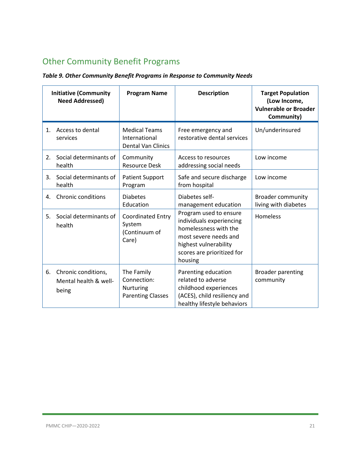# <span id="page-20-0"></span>Other Community Benefit Programs

|    | <b>Initiative (Community</b><br><b>Need Addressed)</b> | <b>Program Name</b>                                                       | <b>Description</b>                                                                                                                                                     | <b>Target Population</b><br>(Low Income,<br><b>Vulnerable or Broader</b><br>Community) |
|----|--------------------------------------------------------|---------------------------------------------------------------------------|------------------------------------------------------------------------------------------------------------------------------------------------------------------------|----------------------------------------------------------------------------------------|
| 1. | Access to dental<br>services                           | <b>Medical Teams</b><br>International<br><b>Dental Van Clinics</b>        | Free emergency and<br>restorative dental services                                                                                                                      | Un/underinsured                                                                        |
| 2. | Social determinants of<br>health                       | Community<br><b>Resource Desk</b>                                         | Access to resources<br>addressing social needs                                                                                                                         | Low income                                                                             |
| 3. | Social determinants of<br>health                       | <b>Patient Support</b><br>Program                                         | Safe and secure discharge<br>from hospital                                                                                                                             | Low income                                                                             |
| 4. | <b>Chronic conditions</b>                              | <b>Diabetes</b><br>Education                                              | Diabetes self-<br>management education                                                                                                                                 | <b>Broader community</b><br>living with diabetes                                       |
| 5. | Social determinants of<br>health                       | <b>Coordinated Entry</b><br>System<br>(Continuum of<br>Care)              | Program used to ensure<br>individuals experiencing<br>homelessness with the<br>most severe needs and<br>highest vulnerability<br>scores are prioritized for<br>housing | Homeless                                                                               |
| 6. | Chronic conditions,<br>Mental health & well-<br>being  | The Family<br>Connection:<br><b>Nurturing</b><br><b>Parenting Classes</b> | Parenting education<br>related to adverse<br>childhood experiences<br>(ACES), child resiliency and<br>healthy lifestyle behaviors                                      | <b>Broader parenting</b><br>community                                                  |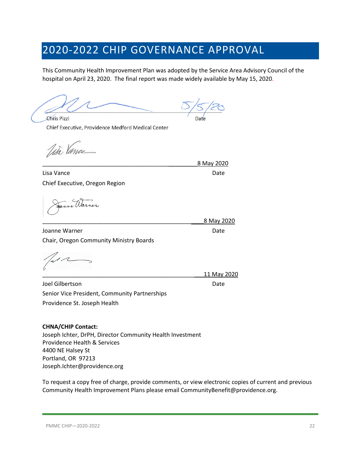# <span id="page-21-0"></span>2020-2022 CHIP GOVERNANCE APPROVAL

This Community Health Improvement Plan was adopted by the Service Area Advisory Council of the hospital on April 23, 2020. The final report was made widely available by May 15, 2020.

**Chris Pizzi** Chief Executive, Providence Medford Medical Center

Wir Vance

Lisa Vance Date Chief Executive, Oregon Region

Joanne Warner National Communication of the Date Date Chair, Oregon Community Ministry Boards

Joel Gilbertson Date Senior Vice President, Community Partnerships Providence St. Joseph Health

#### **CHNA/CHIP Contact:**

Joseph Ichter, DrPH, Director Community Health Investment Providence Health & Services 4400 NE Halsey St Portland, OR 97213 Joseph.Ichter@providence.org

To request a copy free of charge, provide comments, or view electronic copies of current and previous Community Health Improvement Plans please email CommunityBenefit@providence.org.

\_\_\_\_\_\_\_\_\_\_\_\_\_\_\_\_\_\_\_\_\_\_\_\_\_\_\_\_\_\_\_\_\_\_\_\_\_\_\_\_\_\_\_\_\_\_\_\_8 May 2020

\_\_\_\_\_\_\_\_\_\_\_\_\_\_\_\_\_\_\_\_\_\_\_\_\_\_\_\_\_\_\_\_\_\_\_\_\_\_\_\_\_\_\_\_\_\_\_\_\_\_8 May 2020

\_\_\_\_\_\_\_\_\_\_\_\_\_\_\_\_\_\_\_\_\_\_\_\_\_\_\_\_\_\_\_\_\_\_\_\_\_\_\_\_\_\_\_\_\_\_\_\_\_\_11 May 2020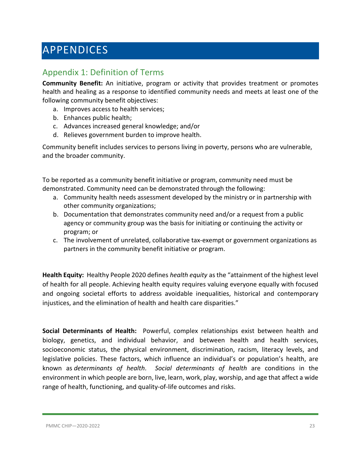# <span id="page-22-0"></span>APPENDICES

# <span id="page-22-1"></span>Appendix 1: Definition of Terms

**Community Benefit:** An initiative, program or activity that provides treatment or promotes health and healing as a response to identified community needs and meets at least one of the following community benefit objectives:

- a. Improves access to health services;
- b. Enhances public health;
- c. Advances increased general knowledge; and/or
- d. Relieves government burden to improve health.

Community benefit includes services to persons living in poverty, persons who are vulnerable, and the broader community.

To be reported as a community benefit initiative or program, community need must be demonstrated. Community need can be demonstrated through the following:

- a. Community health needs assessment developed by the ministry or in partnership with other community organizations;
- b. Documentation that demonstrates community need and/or a request from a public agency or community group was the basis for initiating or continuing the activity or program; or
- c. The involvement of unrelated, collaborative tax-exempt or government organizations as partners in the community benefit initiative or program.

**Health Equity:** Healthy People 2020 defines *health equity* as the "attainment of the highest level of health for all people. Achieving health equity requires valuing everyone equally with focused and ongoing societal efforts to address avoidable inequalities, historical and contemporary injustices, and the elimination of health and health care disparities."

**Social Determinants of Health:** Powerful, complex relationships exist between health and biology, genetics, and individual behavior, and between health and health services, socioeconomic status, the physical environment, discrimination, racism, literacy levels, and legislative policies. These factors, which influence an individual's or population's health, are known as *determinants of health*. *Social determinants of health* are conditions in the environment in which people are born, live, learn, work, play, worship, and age that affect a wide range of health, functioning, and quality-of-life outcomes and risks.